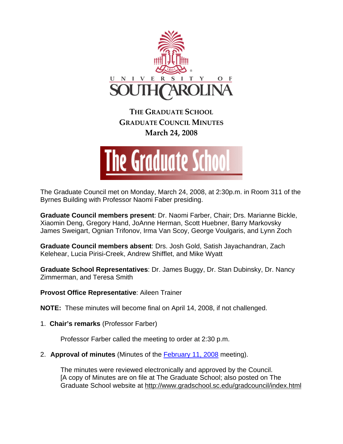

**THE GRADUATE SCHOOL GRADUATE COUNCIL MINUTES March 24, 2008**



The Graduate Council met on Monday, March 24, 2008, at 2:30p.m. in Room 311 of the Byrnes Building with Professor Naomi Faber presiding.

**Graduate Council members present**: Dr. Naomi Farber, Chair; Drs. Marianne Bickle, Xiaomin Deng, Gregory Hand, JoAnne Herman, Scott Huebner, Barry Markovsky James Sweigart, Ognian Trifonov, Irma Van Scoy, George Voulgaris, and Lynn Zoch

**Graduate Council members absent**: Drs. Josh Gold, Satish Jayachandran, Zach Kelehear, Lucia Pirisi-Creek, Andrew Shifflet, and Mike Wyatt

**Graduate School Representatives**: Dr. James Buggy, Dr. Stan Dubinsky, Dr. Nancy Zimmerman, and Teresa Smith

**Provost Office Representative**: Aileen Trainer

**NOTE:** These minutes will become final on April 14, 2008, if not challenged.

1. **Chair's remarks** (Professor Farber)

Professor Farber called the meeting to order at 2:30 p.m.

2. **Approval of minutes** (Minutes of the February 11, 2008 meeting).

The minutes were reviewed electronically and approved by the Council. [A copy of Minutes are on file at The Graduate School; also posted on The Graduate School website at <http://www.gradschool.sc.edu/gradcouncil/index.html>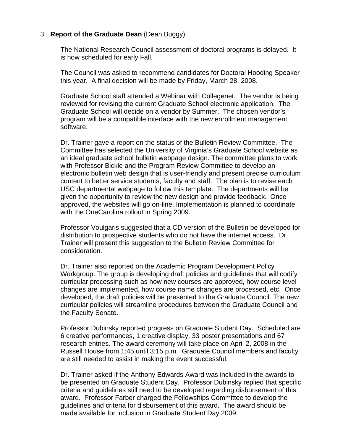## 3. **Report of the Graduate Dean** (Dean Buggy)

The National Research Council assessment of doctoral programs is delayed. It is now scheduled for early Fall.

The Council was asked to recommend candidates for Doctoral Hooding Speaker this year. A final decision will be made by Friday, March 28, 2008.

Graduate School staff attended a Webinar with Collegenet. The vendor is being reviewed for revising the current Graduate School electronic application. The Graduate School will decide on a vendor by Summer. The chosen vendor's program will be a compatible interface with the new enrollment management software.

Dr. Trainer gave a report on the status of the Bulletin Review Committee. The Committee has selected the University of Virginia's Graduate School website as an ideal graduate school bulletin webpage design. The committee plans to work with Professor Bickle and the Program Review Committee to develop an electronic bulletin web design that is user-friendly and present precise curriculum content to better service students, faculty and staff. The plan is to revise each USC departmental webpage to follow this template. The departments will be given the opportunity to review the new design and provide feedback. Once approved, the websites will go on-line. Implementation is planned to coordinate with the OneCarolina rollout in Spring 2009.

Professor Voulgaris suggested that a CD version of the Bulletin be developed for distribution to prospective students who do not have the internet access. Dr. Trainer will present this suggestion to the Bulletin Review Committee for consideration.

Dr. Trainer also reported on the Academic Program Development Policy Workgroup. The group is developing draft policies and guidelines that will codify curricular processing such as how new courses are approved, how course level changes are implemented, how course name changes are processed, etc. Once developed, the draft policies will be presented to the Graduate Council. The new curricular policies will streamline procedures between the Graduate Council and the Faculty Senate.

Professor Dubinsky reported progress on Graduate Student Day. Scheduled are 6 creative performances, 1 creative display, 33 poster presentations and 67 research entries. The award ceremony will take place on April 2, 2008 in the Russell House from 1:45 until 3:15 p.m. Graduate Council members and faculty are still needed to assist in making the event successful.

Dr. Trainer asked if the Anthony Edwards Award was included in the awards to be presented on Graduate Student Day. Professor Dubinsky replied that specific criteria and guidelines still need to be developed regarding disbursement of this award. Professor Farber charged the Fellowships Committee to develop the guidelines and criteria for disbursement of this award. The award should be made available for inclusion in Graduate Student Day 2009.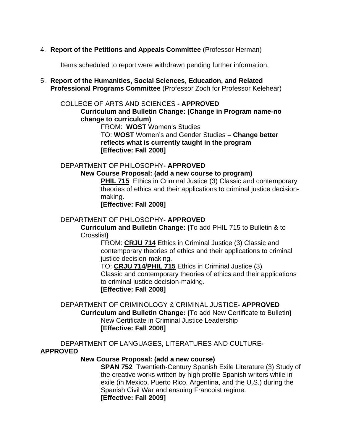4. **Report of the Petitions and Appeals Committee** (Professor Herman)

Items scheduled to report were withdrawn pending further information.

5. **Report of the Humanities, Social Sciences, Education, and Related Professional Programs Committee** (Professor Zoch for Professor Kelehear)

#### COLLEGE OF ARTS AND SCIENCES **- APPROVED**

**Curriculum and Bulletin Change: (Change in Program name-no change to curriculum)**

FROM: **WOST** Women's Studies

TO: **WOST** Women's and Gender Studies **– Change better reflects what is currently taught in the program [Effective: Fall 2008]** 

#### DEPARTMENT OF PHILOSOPHY**- APPROVED**

#### **New Course Proposal: (add a new course to program)**

**PHIL 715** Ethics in Criminal Justice (3) Classic and contemporary theories of ethics and their applications to criminal justice decisionmaking.

**[Effective: Fall 2008]** 

#### DEPARTMENT OF PHILOSOPHY**- APPROVED**

**Curriculum and Bulletin Change: (**To add PHIL 715 to Bulletin & to Crosslist**)**

> FROM: **[CRJU 714](http://www.gradschool.sc.edu/gradcouncil/Curricula/NCP%20CRJU%20714.PDF)** Ethics in Criminal Justice (3) Classic and contemporary theories of ethics and their applications to criminal justice decision-making.

TO: **[CRJU 714](http://www.gradschool.sc.edu/gradcouncil/Curricula/NCP%20CRJU%20714.PDF)/[PHIL 715](http://www.gradschool.sc.edu/gradcouncil/Curricula/NCP%20PHIL%20715.PDF)** Ethics in Criminal Justice (3) Classic and contemporary theories of ethics and their applications to criminal justice decision-making. **[Effective: Fall 2008]** 

## DEPARTMENT OF CRIMINOLOGY & CRIMINAL JUSTICE**- APPROVED Curriculum and Bulletin Change: (**To add New Certificate to Bulletin**)** New Certificate in Criminal Justice Leadership **[Effective: Fall 2008]**

DEPARTMENT OF LANGUAGES, LITERATURES AND CULTURE**-APPROVED**

## **New Course Proposal: (add a new course)**

**SPAN 752** Twentieth-Century Spanish Exile Literature (3) Study of the creative works written by high profile Spanish writers while in exile (in Mexico, Puerto Rico, Argentina, and the U.S.) during the Spanish Civil War and ensuing Francoist regime. **[Effective: Fall 2009]**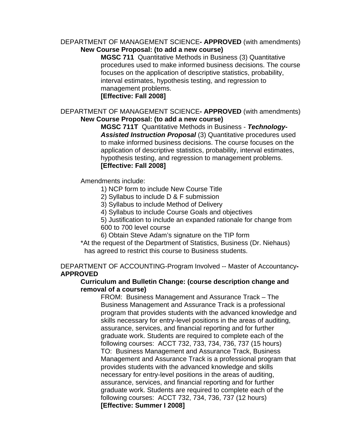#### DEPARTMENT OF MANAGEMENT SCIENCE**- APPROVED** (with amendments) **New Course Proposal: (to add a new course)**

**MGSC 711** Quantitative Methods in Business (3) Quantitative procedures used to make informed business decisions. The course focuses on the application of descriptive statistics, probability, interval estimates, hypothesis testing, and regression to management problems. **[Effective: Fall 2008]**

## DEPARTMENT OF MANAGEMENT SCIENCE**- APPROVED** (with amendments) **New Course Proposal: (to add a new course)**

**MGSC 711T** Quantitative Methods in Business - *Technology-Assisted Instruction Proposal* (3) Quantitative procedures used to make informed business decisions. The course focuses on the application of descriptive statistics, probability, interval estimates, hypothesis testing, and regression to management problems. **[Effective: Fall 2008]**

Amendments include:

- 1) NCP form to include New Course Title
- 2) Syllabus to include D & F submission
- 3) Syllabus to include Method of Delivery
- 4) Syllabus to include Course Goals and objectives

5) Justification to include an expanded rationale for change from 600 to 700 level course

6) Obtain Steve Adam's signature on the TIP form

\*At the request of the Department of Statistics, Business (Dr. Niehaus) has agreed to restrict this course to Business students.

## DEPARTMENT OF ACCOUNTING-Program Involved -- Master of Accountancy**-APPROVED**

## **Curriculum and Bulletin Change: (course description change and removal of a course)**

FROM: Business Management and Assurance Track – The Business Management and Assurance Track is a professional program that provides students with the advanced knowledge and skills necessary for entry-level positions in the areas of auditing, assurance, services, and financial reporting and for further graduate work. Students are required to complete each of the following courses: ACCT 732, 733, 734, 736, 737 (15 hours) TO: Business Management and Assurance Track, Business Management and Assurance Track is a professional program that provides students with the advanced knowledge and skills necessary for entry-level positions in the areas of auditing, assurance, services, and financial reporting and for further graduate work. Students are required to complete each of the following courses: ACCT 732, 734, 736, 737 (12 hours) **[Effective: Summer I 2008]**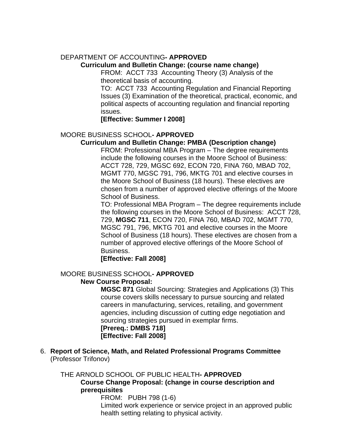# DEPARTMENT OF ACCOUNTING**- APPROVED**

## **Curriculum and Bulletin Change: (course name change)**

FROM: ACCT 733 Accounting Theory (3) Analysis of the theoretical basis of accounting.

TO: ACCT 733 Accounting Regulation and Financial Reporting Issues (3) Examination of the theoretical, practical, economic, and political aspects of accounting regulation and financial reporting issues.

## **[Effective: Summer I 2008]**

# MOORE BUSINESS SCHOOL**- APPROVED**

## **Curriculum and Bulletin Change: PMBA (Description change)**

FROM: Professional MBA Program – The degree requirements include the following courses in the Moore School of Business: ACCT 728, 729, MGSC 692, ECON 720, FINA 760, MBAD 702, MGMT 770, MGSC 791, 796, MKTG 701 and elective courses in the Moore School of Business (18 hours). These electives are chosen from a number of approved elective offerings of the Moore School of Business.

TO: Professional MBA Program – The degree requirements include the following courses in the Moore School of Business: ACCT 728, 729, **MGSC 711**, ECON 720, FINA 760, MBAD 702, MGMT 770, MGSC 791, 796, MKTG 701 and elective courses in the Moore School of Business (18 hours). These electives are chosen from a number of approved elective offerings of the Moore School of Business.

**[Effective: Fall 2008]** 

## MOORE BUSINESS SCHOOL**- APPROVED**

## **New Course Proposal:**

**MGSC 871** Global Sourcing: Strategies and Applications (3) This course covers skills necessary to pursue sourcing and related careers in manufacturing, services, retailing, and government agencies, including discussion of cutting edge negotiation and sourcing strategies pursued in exemplar firms. **[Prereq.: DMBS 718]** 

**[Effective: Fall 2008]** 

6. **Report of Science, Math, and Related Professional Programs Committee**  (Professor Trifonov)

## THE ARNOLD SCHOOL OF PUBLIC HEALTH**- APPROVED**

**Course Change Proposal: (change in course description and prerequisites**

FROM:PUBH 798 (1-6)

Limited work experience or service project in an approved public health setting relating to physical activity.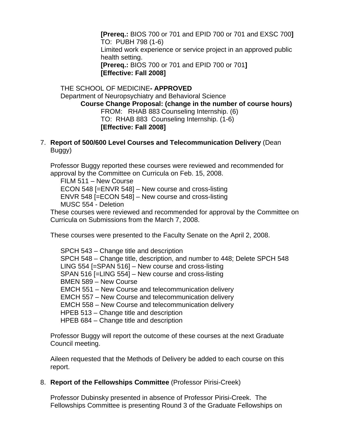**[Prereq.:** BIOS 700 or 701 and EPID 700 or 701 and EXSC 700**]**  TO:PUBH 798 (1-6) Limited work experience or service project in an approved public health setting. **[Prereq.:** BIOS 700 or 701 and EPID 700 or 701**] [Effective: Fall 2008]** 

THE SCHOOL OF MEDICINE**- APPROVED** Department of Neuropsychiatry and Behavioral Science **Course Change Proposal: (change in the number of course hours)** FROM: RHAB 883 Counseling Internship. (6) TO:RHAB 883 Counseling Internship. (1-6) **[Effective: Fall 2008]** 

7. **Report of 500/600 Level Courses and Telecommunication Delivery** (Dean Buggy)

Professor Buggy reported these courses were reviewed and recommended for approval by the Committee on Curricula on Feb. 15, 2008.

 FILM 511 – New Course ECON 548 [=ENVR 548] – New course and cross-listing ENVR 548 [=ECON 548] – New course and cross-listing MUSC 554 - Deletion

These courses were reviewed and recommended for approval by the Committee on Curricula on Submissions from the March 7, 2008.

These courses were presented to the Faculty Senate on the April 2, 2008.

SPCH 543 – Change title and description SPCH 548 – Change title, description, and number to 448; Delete SPCH 548 LING 554 [=SPAN 516] – New course and cross-listing SPAN 516 [=LING 554] – New course and cross-listing BMEN 589 – New Course EMCH 551 – New Course and telecommunication delivery EMCH 557 – New Course and telecommunication delivery EMCH 558 – New Course and telecommunication delivery HPEB 513 – Change title and description HPEB 684 – Change title and description

Professor Buggy will report the outcome of these courses at the next Graduate Council meeting.

Aileen requested that the Methods of Delivery be added to each course on this report.

8. **Report of the Fellowships Committee** (Professor Pirisi-Creek)

Professor Dubinsky presented in absence of Professor Pirisi-Creek. The Fellowships Committee is presenting Round 3 of the Graduate Fellowships on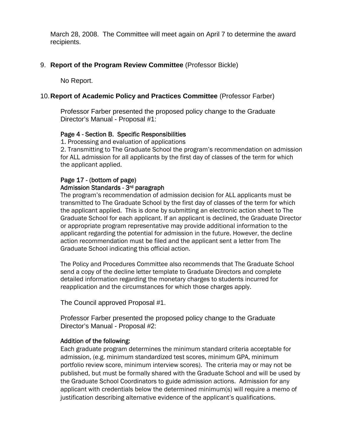March 28, 2008. The Committee will meet again on April 7 to determine the award recipients.

## 9. **Report of the Program Review Committee** (Professor Bickle)

No Report.

## 10. **Report of Academic Policy and Practices Committee** (Professor Farber)

Professor Farber presented the proposed policy change to the Graduate Director's Manual - Proposal #1:

## Page 4 - Section B. Specific Responsibilities

1. Processing and evaluation of applications

2. Transmitting to The Graduate School the program's recommendation on admission for ALL admission for all applicants by the first day of classes of the term for which the applicant applied.

## Page 17 - (bottom of page) Admission Standards - 3rd paragraph

The program's recommendation of admission decision for ALL applicants must be transmitted to The Graduate School by the first day of classes of the term for which the applicant applied. This is done by submitting an electronic action sheet to The Graduate School for each applicant. If an applicant is declined, the Graduate Director or appropriate program representative may provide additional information to the applicant regarding the potential for admission in the future. However, the decline action recommendation must be filed and the applicant sent a letter from The Graduate School indicating this official action.

The Policy and Procedures Committee also recommends that The Graduate School send a copy of the decline letter template to Graduate Directors and complete detailed information regarding the monetary charges to students incurred for reapplication and the circumstances for which those charges apply.

The Council approved Proposal #1.

Professor Farber presented the proposed policy change to the Graduate Director's Manual - Proposal #2:

#### Addition of the following:

Each graduate program determines the minimum standard criteria acceptable for admission, (e.g. minimum standardized test scores, minimum GPA, minimum portfolio review score, minimum interview scores). The criteria may or may not be published, but must be formally shared with the Graduate School and will be used by the Graduate School Coordinators to guide admission actions. Admission for any applicant with credentials below the determined minimum(s) will require a memo of justification describing alternative evidence of the applicant's qualifications.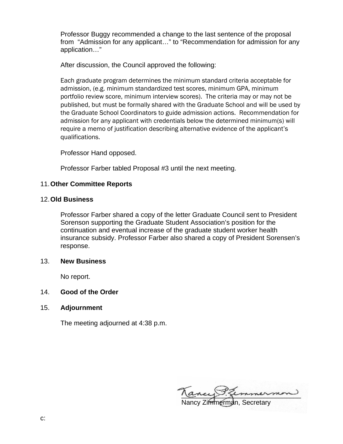Professor Buggy recommended a change to the last sentence of the proposal from "Admission for any applicant…" to "Recommendation for admission for any application…"

After discussion, the Council approved the following:

Each graduate program determines the minimum standard criteria acceptable for admission, (e.g. minimum standardized test scores, minimum GPA, minimum portfolio review score, minimum interview scores). The criteria may or may not be published, but must be formally shared with the Graduate School and will be used by the Graduate School Coordinators to guide admission actions. Recommendation for admission for any applicant with credentials below the determined minimum(s) will require a memo of justification describing alternative evidence of the applicant's qualifications.

Professor Hand opposed.

Professor Farber tabled Proposal #3 until the next meeting.

## 11. **Other Committee Reports**

#### 12. **Old Business**

Professor Farber shared a copy of the letter Graduate Council sent to President Sorenson supporting the Graduate Student Association's position for the continuation and eventual increase of the graduate student worker health insurance subsidy. Professor Farber also shared a copy of President Sorensen's response.

#### 13. **New Business**

No report.

#### 14. **Good of the Order**

15. **Adjournment** 

The meeting adjourned at 4:38 p.m.

ancy semmermon

Nancy Zimmerman, Secretary